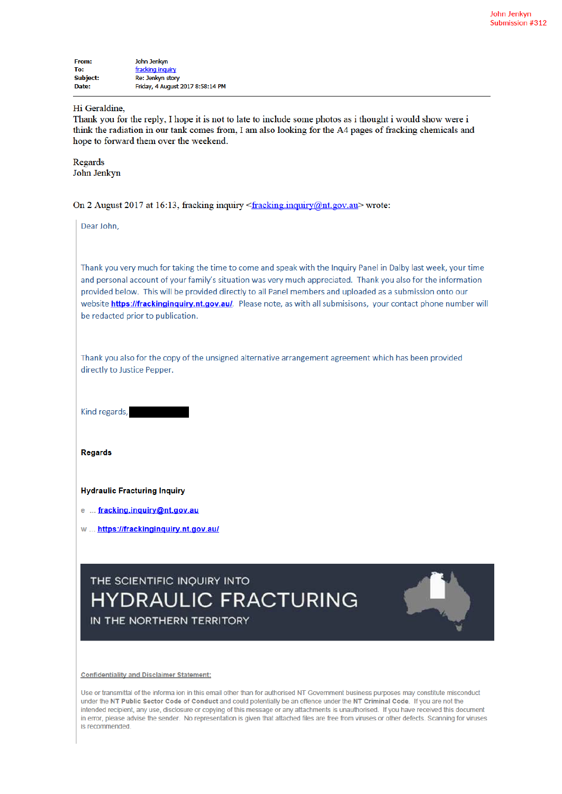| From:           | John Jenkyn                      |
|-----------------|----------------------------------|
| To:             | fracking inquiry                 |
| <b>Subject:</b> | Re: Jenkyn story                 |
| Date:           | Friday, 4 August 2017 8:58:14 PM |

## Hi Geraldine,

Thank you for the reply. I hope it is not to late to include some photos as i thought i would show were i think the radiation in our tank comes from, I am also looking for the A4 pages of fracking chemicals and hope to forward them over the weekend.

Regards John Jenkyn

On 2 August 2017 at 16:13, fracking inquiry <fracking inquiry@nt.gov.au> wrote:

Dear John.

Thank you very much for taking the time to come and speak with the Inquiry Panel in Dalby last week, your time and personal account of your family's situation was very much appreciated. Thank you also for the information provided below. This will be provided directly to all Panel members and uploaded as a submission onto our website https://frackinginguiry.nt.gov.au/. Please note, as with all submisisons, your contact phone number will be redacted prior to publication.

Thank you also for the copy of the unsigned alternative arrangement agreement which has been provided directly to Justice Pepper.

Kind regards,

**Regards** 

## **Hydraulic Fracturing Inquiry**

e ... fracking.inquiry@nt.gov.au

w ... https://frackinginquiry.nt.gov.au/

## THE SCIENTIFIC INQUIRY INTO **HYDRAULIC FRACTURING** IN THE NORTHERN TERRITORY



**Confidentiality and Disclaimer Statement:** 

Use or transmittal of the informa ion in this email other than for authorised NT Government business purposes may constitute misconduct under the NT Public Sector Code of Conduct and could potentially be an offence under the NT Criminal Code. If you are not the intended recipient, any use, disclosure or copying of this message or any attachments is unauthorised. If you have received this document in error, please advise the sender. No representation is given that attached files are free from viruses or other defects. Scanning for viruses is recommended.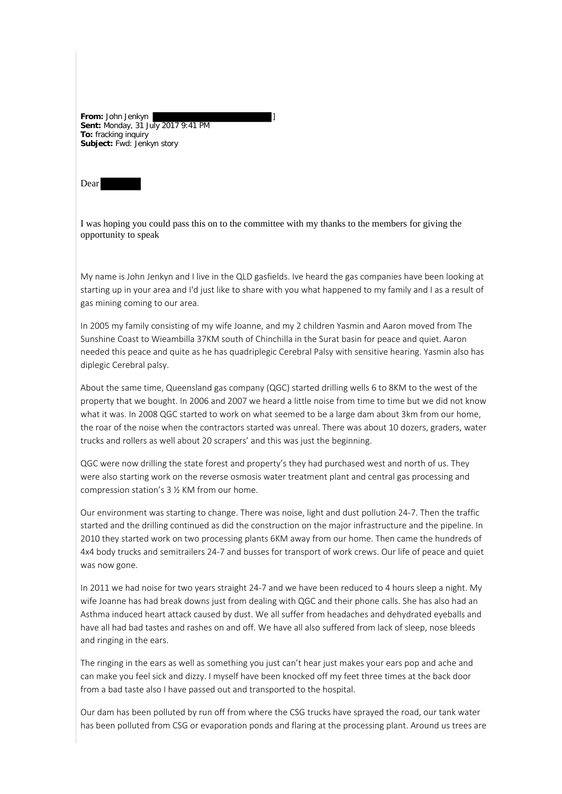**From:** John Jenkyn ] **Sent:** Monday, 31 July 2017 9:41 PM **To:** fracking inquiry **Subject:** Fwd: Jenkyn story

Dear

I was hoping you could pass this on to the committee with my thanks to the members for giving the opportunity to speak

My name is John Jenkyn and I live in the QLD gasfields. Ive heard the gas companies have been looking at starting up in your area and I'd just like to share with you what happened to my family and I as a result of gas mining coming to our area.

In 2005 my family consisting of my wife Joanne, and my 2 children Yasmin and Aaron moved from The Sunshine Coast to Wieambilla 37KM south of Chinchilla in the Surat basin for peace and quiet. Aaron needed this peace and quite as he has quadriplegic Cerebral Palsy with sensitive hearing. Yasmin also has diplegic Cerebral palsy.

About the same time, Queensland gas company (QGC) started drilling wells 6 to 8KM to the west of the property that we bought. In 2006 and 2007 we heard a little noise from time to time but we did not know what it was. In 2008 QGC started to work on what seemed to be a large dam about 3km from our home, the roar of the noise when the contractors started was unreal. There was about 10 dozers, graders, water trucks and rollers as well about 20 scrapers' and this was just the beginning.

QGC were now drilling the state forest and property's they had purchased west and north of us. They were also starting work on the reverse osmosis water treatment plant and central gas processing and compression station's 3 ½ KM from our home.

Our environment was starting to change. There was noise, light and dust pollution 24-7. Then the traffic started and the drilling continued as did the construction on the major infrastructure and the pipeline. In 2010 they started work on two processing plants 6KM away from our home. Then came the hundreds of 4x4 body trucks and semitrailers 24-7 and busses for transport of work crews. Our life of peace and quiet was now gone.

In 2011 we had noise for two years straight 24-7 and we have been reduced to 4 hours sleep a night. My wife Joanne has had break downs just from dealing with QGC and their phone calls. She has also had an Asthma induced heart attack caused by dust. We all suffer from headaches and dehydrated eyeballs and have all had bad tastes and rashes on and off. We have all also suffered from lack of sleep, nose bleeds and ringing in the ears.

The ringing in the ears as well as something you just can't hear just makes your ears pop and ache and can make you feel sick and dizzy. I myself have been knocked off my feet three times at the back door from a bad taste also I have passed out and transported to the hospital.

Our dam has been polluted by run off from where the CSG trucks have sprayed the road, our tank water has been polluted from CSG or evaporation ponds and flaring at the processing plant. Around us trees are